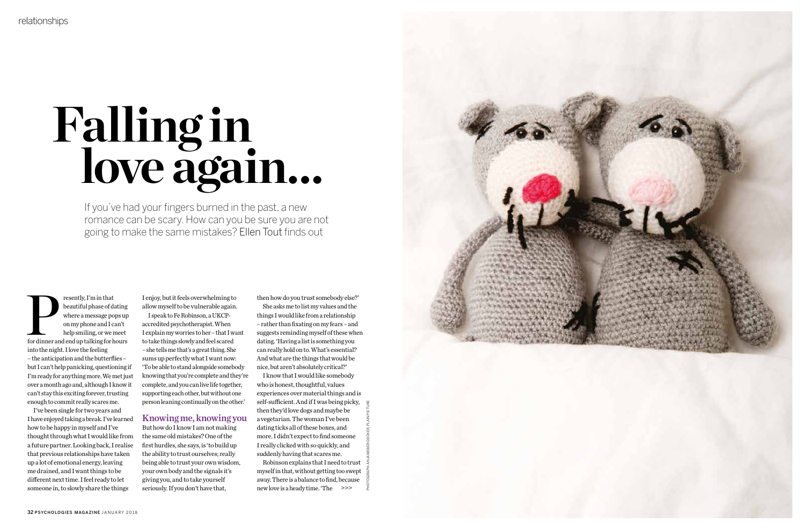# **Falling in love again…**

If you've had your fingers burned in the past, a new romance can be scary. How can you be sure you are not going to make the same mistakes? Ellen Tout finds out

resently, I'm in that<br>
beautiful phase of dating<br>
where a message pops up<br>
on my phone and I can't<br>
help smiling, or we meet<br>
for dinner and end up talking for hours beautiful phase of dating where a message pops up on my phone and I can't help smiling, or we meet into the night. I love the feeling – the anticipation and the butterflies – but I can't help panicking, questioning if I'm ready for anything more. We met just over a month ago and, although I know it can't stay this exciting forever, trusting enough to commit really scares me.

I've been single for two years and I have enjoyed taking a break. I've learned how to be happy in myself and I've thought through what I would like from a future partner. Looking back, I realise that previous relationships have taken up a lot of emotional energy, leaving me drained, and I want things to be different next time. I feel ready to let someone in, to slowly share the things

I enjoy, but it feels overwhelming to allow myself to be vulnerable again.

I speak to Fe Robinson, a UKCPaccredited psychotherapist. When I explain my worries to her – that I want to take things slowly and feel scared – she tells me that's a great thing. She sums up perfectly what I want now: 'To be able to stand alongside somebody knowing that you're complete and they're complete, and you can live life together, supporting each other, but without one person leaning continually on the other.'

## Knowing me, knowingyou

But how do I know I am not making the same old mistakes? One of the first hurdles, she says, is 'to build up the ability to trust ourselves; really being able to trust your own wisdom, your own body and the signals it's giving you, and to take yourself seriously. If you don't have that,

then how do you trust somebody else?' She asks me to list my values and the things I would like from a relationship – rather than fixating on my fears – and suggests reminding myself of these when dating. 'Having a list is something you can really hold on to. What's essential? And what are the things that would be nice, but aren't absolutely critical?'

I know that I would like somebody who is honest, thoughtful, values experiences over material things and is self-sufficient. And if I was being picky, then they'd love dogs and maybe be a vegetarian. The woman I've been dating ticks all of these boxes, and more. I didn't expect to find someone I really clicked with so quickly, and suddenly having that scares me.

Robinson explains that I need to trust myself in that, without getting too swept away. There is a balance to find, because new love is a heady time. 'The >>>



PHOTOGRAPH: ANJA WEBER-DECKER, PLAIN PICTURE